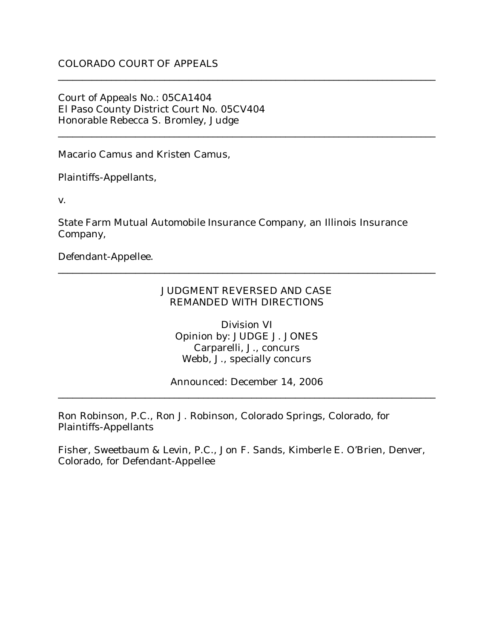# COLORADO COURT OF APPEALS

Court of Appeals No.: 05CA1404 El Paso County District Court No. 05CV404 Honorable Rebecca S. Bromley, Judge

Macario Camus and Kristen Camus,

Plaintiffs-Appellants,

v.

State Farm Mutual Automobile Insurance Company, an Illinois Insurance Company,

\_\_\_\_\_\_\_\_\_\_\_\_\_\_\_\_\_\_\_\_\_\_\_\_\_\_\_\_\_\_\_\_\_\_\_\_\_\_\_\_\_\_\_\_\_\_\_\_\_\_\_\_\_\_\_\_\_\_\_\_\_\_\_\_\_\_\_\_\_\_\_\_\_\_\_\_\_\_

\_\_\_\_\_\_\_\_\_\_\_\_\_\_\_\_\_\_\_\_\_\_\_\_\_\_\_\_\_\_\_\_\_\_\_\_\_\_\_\_\_\_\_\_\_\_\_\_\_\_\_\_\_\_\_\_\_\_\_\_\_\_\_\_\_\_\_\_\_\_\_\_\_\_\_\_\_\_

Defendant-Appellee.

#### JUDGMENT REVERSED AND CASE REMANDED WITH DIRECTIONS

\_\_\_\_\_\_\_\_\_\_\_\_\_\_\_\_\_\_\_\_\_\_\_\_\_\_\_\_\_\_\_\_\_\_\_\_\_\_\_\_\_\_\_\_\_\_\_\_\_\_\_\_\_\_\_\_\_\_\_\_\_\_\_\_\_\_\_\_\_\_\_\_\_\_\_\_\_\_

Division VI Opinion by: JUDGE J. JONES Carparelli, J., concurs Webb, J., specially concurs

Announced: December 14, 2006 \_\_\_\_\_\_\_\_\_\_\_\_\_\_\_\_\_\_\_\_\_\_\_\_\_\_\_\_\_\_\_\_\_\_\_\_\_\_\_\_\_\_\_\_\_\_\_\_\_\_\_\_\_\_\_\_\_\_\_\_\_\_\_\_\_\_\_\_\_\_\_\_\_\_\_\_\_\_

Ron Robinson, P.C., Ron J. Robinson, Colorado Springs, Colorado, for Plaintiffs-Appellants

Fisher, Sweetbaum & Levin, P.C., Jon F. Sands, Kimberle E. O'Brien, Denver, Colorado, for Defendant-Appellee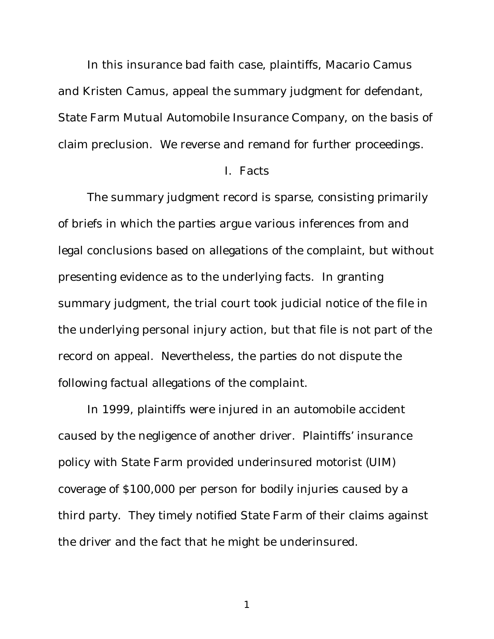In this insurance bad faith case, plaintiffs, Macario Camus and Kristen Camus, appeal the summary judgment for defendant, State Farm Mutual Automobile Insurance Company, on the basis of claim preclusion. We reverse and remand for further proceedings.

#### I. Facts

The summary judgment record is sparse, consisting primarily of briefs in which the parties argue various inferences from and legal conclusions based on allegations of the complaint, but without presenting evidence as to the underlying facts. In granting summary judgment, the trial court took judicial notice of the file in the underlying personal injury action, but that file is not part of the record on appeal. Nevertheless, the parties do not dispute the following factual allegations of the complaint.

In 1999, plaintiffs were injured in an automobile accident caused by the negligence of another driver. Plaintiffs' insurance policy with State Farm provided underinsured motorist (UIM) coverage of \$100,000 per person for bodily injuries caused by a third party. They timely notified State Farm of their claims against the driver and the fact that he might be underinsured.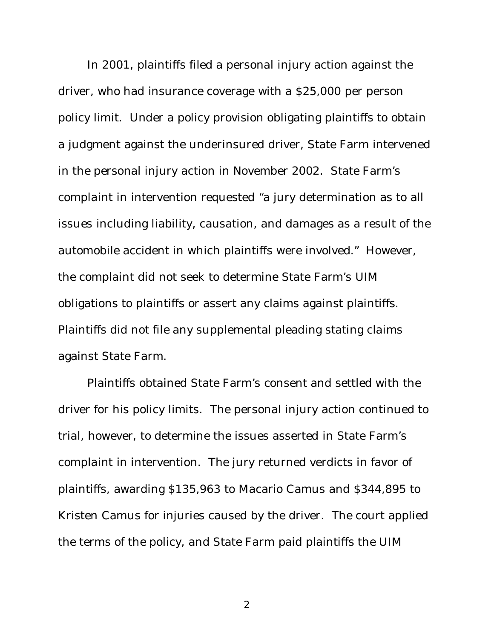In 2001, plaintiffs filed a personal injury action against the driver, who had insurance coverage with a \$25,000 per person policy limit. Under a policy provision obligating plaintiffs to obtain a judgment against the underinsured driver, State Farm intervened in the personal injury action in November 2002. State Farm's complaint in intervention requested "a jury determination as to all issues including liability, causation, and damages as a result of the automobile accident in which plaintiffs were involved." However, the complaint did not seek to determine State Farm's UIM obligations to plaintiffs or assert any claims against plaintiffs. Plaintiffs did not file any supplemental pleading stating claims against State Farm.

Plaintiffs obtained State Farm's consent and settled with the driver for his policy limits. The personal injury action continued to trial, however, to determine the issues asserted in State Farm's complaint in intervention. The jury returned verdicts in favor of plaintiffs, awarding \$135,963 to Macario Camus and \$344,895 to Kristen Camus for injuries caused by the driver. The court applied the terms of the policy, and State Farm paid plaintiffs the UIM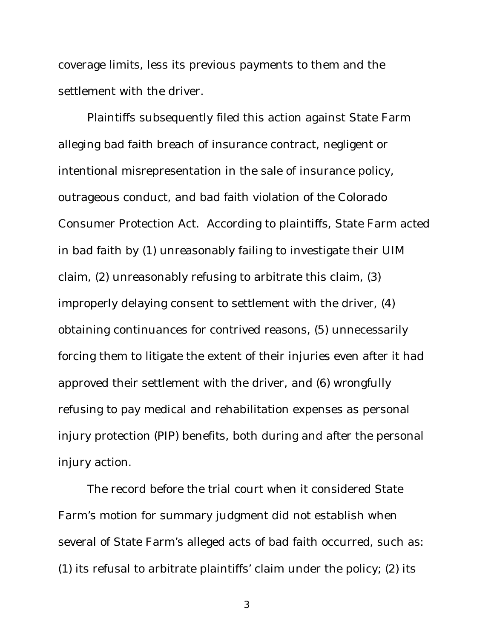coverage limits, less its previous payments to them and the settlement with the driver.

Plaintiffs subsequently filed this action against State Farm alleging bad faith breach of insurance contract, negligent or intentional misrepresentation in the sale of insurance policy, outrageous conduct, and bad faith violation of the Colorado Consumer Protection Act. According to plaintiffs, State Farm acted in bad faith by (1) unreasonably failing to investigate their UIM claim, (2) unreasonably refusing to arbitrate this claim, (3) improperly delaying consent to settlement with the driver, (4) obtaining continuances for contrived reasons, (5) unnecessarily forcing them to litigate the extent of their injuries even after it had approved their settlement with the driver, and (6) wrongfully refusing to pay medical and rehabilitation expenses as personal injury protection (PIP) benefits, both during and after the personal injury action.

The record before the trial court when it considered State Farm's motion for summary judgment did not establish when several of State Farm's alleged acts of bad faith occurred, such as: (1) its refusal to arbitrate plaintiffs' claim under the policy; (2) its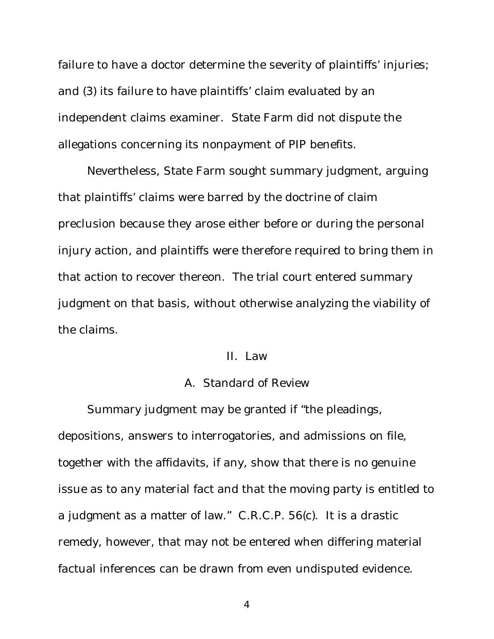failure to have a doctor determine the severity of plaintiffs' injuries; and (3) its failure to have plaintiffs' claim evaluated by an independent claims examiner. State Farm did not dispute the allegations concerning its nonpayment of PIP benefits.

Nevertheless, State Farm sought summary judgment, arguing that plaintiffs' claims were barred by the doctrine of claim preclusion because they arose either before or during the personal injury action, and plaintiffs were therefore required to bring them in that action to recover thereon. The trial court entered summary judgment on that basis, without otherwise analyzing the viability of the claims.

## II. Law

#### A. Standard of Review

Summary judgment may be granted if "the pleadings, depositions, answers to interrogatories, and admissions on file, together with the affidavits, if any, show that there is no genuine issue as to any material fact and that the moving party is entitled to a judgment as a matter of law." C.R.C.P. 56(c). It is a drastic remedy, however, that may not be entered when differing material factual inferences can be drawn from even undisputed evidence.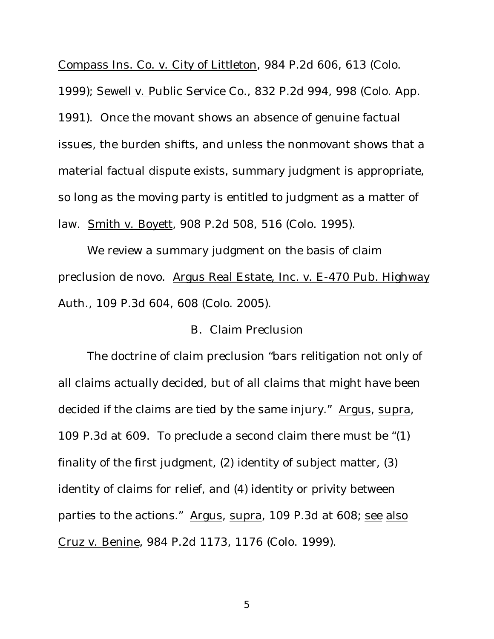Compass Ins. Co. v. City of Littleton, 984 P.2d 606, 613 (Colo.

1999); Sewell v. Public Service Co., 832 P.2d 994, 998 (Colo. App.

1991). Once the movant shows an absence of genuine factual issues, the burden shifts, and unless the nonmovant shows that a material factual dispute exists, summary judgment is appropriate, so long as the moving party is entitled to judgment as a matter of law. Smith v. Boyett, 908 P.2d 508, 516 (Colo. 1995).

We review a summary judgment on the basis of claim preclusion de novo. Argus Real Estate, Inc. v. E-470 Pub. Highway Auth., 109 P.3d 604, 608 (Colo. 2005).

## B. Claim Preclusion

The doctrine of claim preclusion "bars relitigation not only of all claims actually decided, but of all claims that might have been decided if the claims are tied by the same injury." Argus, supra, 109 P.3d at 609. To preclude a second claim there must be "(1) finality of the first judgment, (2) identity of subject matter, (3) identity of claims for relief, and (4) identity or privity between parties to the actions." Argus, supra, 109 P.3d at 608; see also Cruz v. Benine, 984 P.2d 1173, 1176 (Colo. 1999).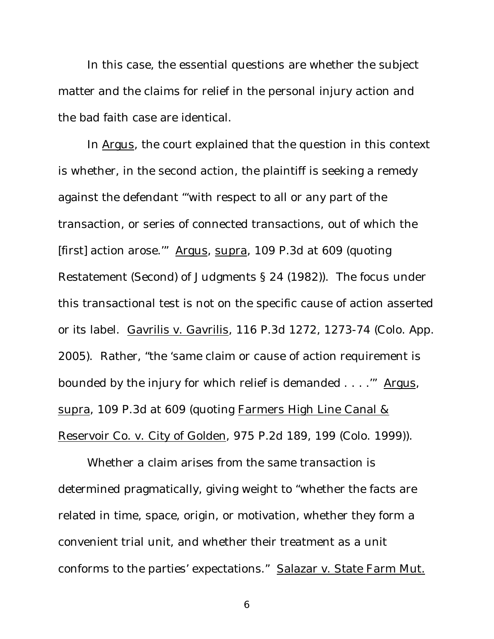In this case, the essential questions are whether the subject matter and the claims for relief in the personal injury action and the bad faith case are identical.

In Argus, the court explained that the question in this context is whether, in the second action, the plaintiff is seeking a remedy against the defendant "'with respect to all or any part of the transaction, or series of connected transactions, out of which the [first] action arose.'" Argus, supra, 109 P.3d at 609 (quoting Restatement (Second) of Judgments § 24 (1982)). The focus under this transactional test is not on the specific cause of action asserted or its label. Gavrilis v. Gavrilis, 116 P.3d 1272, 1273-74 (Colo. App. 2005). Rather, "the 'same claim or cause of action requirement is bounded by the injury for which relief is demanded . . . .'" Argus, supra, 109 P.3d at 609 (quoting Farmers High Line Canal & Reservoir Co. v. City of Golden, 975 P.2d 189, 199 (Colo. 1999)).

Whether a claim arises from the same transaction is determined pragmatically, giving weight to "whether the facts are related in time, space, origin, or motivation, whether they form a convenient trial unit, and whether their treatment as a unit conforms to the parties' expectations." Salazar v. State Farm Mut.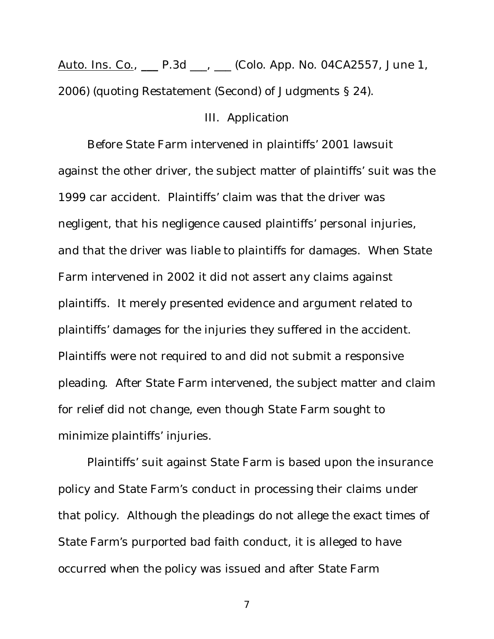Auto. Ins. Co., **\_\_\_** P.3d \_\_\_, \_\_\_ (Colo. App. No. 04CA2557, June 1, 2006) (quoting Restatement (Second) of Judgments § 24).

# III. Application

Before State Farm intervened in plaintiffs' 2001 lawsuit against the other driver, the subject matter of plaintiffs' suit was the 1999 car accident. Plaintiffs' claim was that the driver was negligent, that his negligence caused plaintiffs' personal injuries, and that the driver was liable to plaintiffs for damages. When State Farm intervened in 2002 it did not assert any claims against plaintiffs. It merely presented evidence and argument related to plaintiffs' damages for the injuries they suffered in the accident. Plaintiffs were not required to and did not submit a responsive pleading. After State Farm intervened, the subject matter and claim for relief did not change, even though State Farm sought to minimize plaintiffs' injuries.

Plaintiffs' suit against State Farm is based upon the insurance policy and State Farm's conduct in processing their claims under that policy. Although the pleadings do not allege the exact times of State Farm's purported bad faith conduct, it is alleged to have occurred when the policy was issued and after State Farm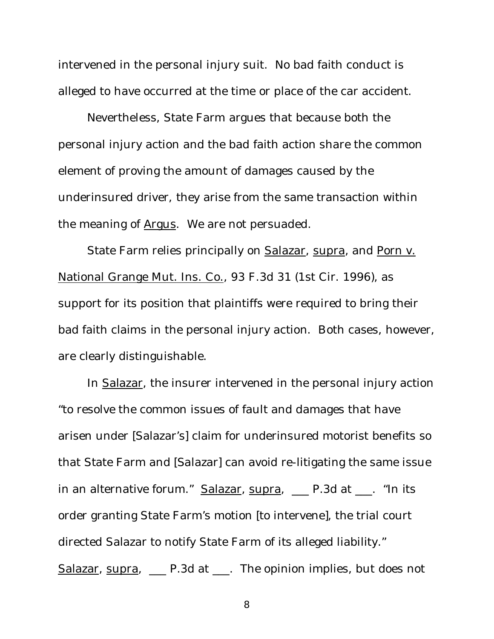intervened in the personal injury suit. No bad faith conduct is alleged to have occurred at the time or place of the car accident.

Nevertheless, State Farm argues that because both the personal injury action and the bad faith action share the common element of proving the amount of damages caused by the underinsured driver, they arise from the same transaction within the meaning of Argus. We are not persuaded.

State Farm relies principally on Salazar, supra, and Porn v. National Grange Mut. Ins. Co., 93 F.3d 31 (1st Cir. 1996), as support for its position that plaintiffs were required to bring their bad faith claims in the personal injury action. Both cases, however, are clearly distinguishable.

In Salazar, the insurer intervened in the personal injury action "to resolve the common issues of fault and damages that have arisen under [Salazar's] claim for underinsured motorist benefits so that State Farm and [Salazar] can avoid re-litigating the same issue in an alternative forum." Salazar, supra, \_\_\_ P.3d at \_\_\_. "In its order granting State Farm's motion [to intervene], the trial court directed Salazar to notify State Farm of its alleged liability." Salazar, supra,  $\Box$  P.3d at  $\Box$ . The opinion implies, but does not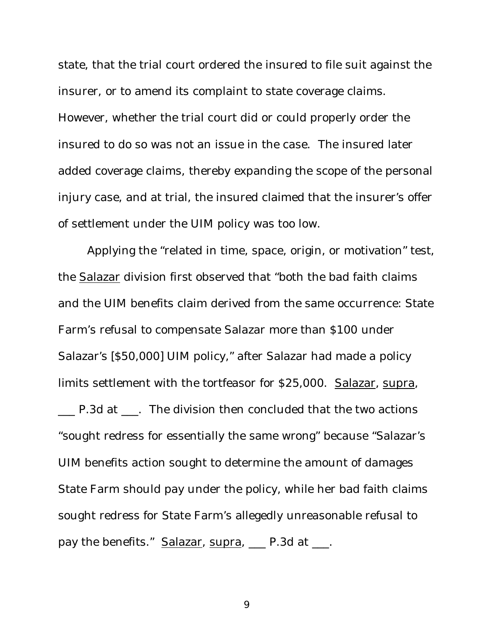state, that the trial court ordered the insured to file suit against the insurer, or to amend its complaint to state coverage claims. However, whether the trial court did or could properly order the insured to do so was not an issue in the case. The insured later added coverage claims, thereby expanding the scope of the personal injury case, and at trial, the insured claimed that the insurer's offer of settlement under the UIM policy was too low.

Applying the "related in time, space, origin, or motivation" test, the Salazar division first observed that "both the bad faith claims and the UIM benefits claim derived from the same occurrence: State Farm's refusal to compensate Salazar more than \$100 under Salazar's [\$50,000] UIM policy," after Salazar had made a policy limits settlement with the tortfeasor for \$25,000. Salazar, supra, \_\_\_ P.3d at \_\_\_. The division then concluded that the two actions "sought redress for essentially the same wrong" because "Salazar's UIM benefits action sought to determine the amount of damages State Farm should pay under the policy, while her bad faith claims sought redress for State Farm's allegedly unreasonable refusal to pay the benefits." Salazar, supra, P.3d at \_\_\_.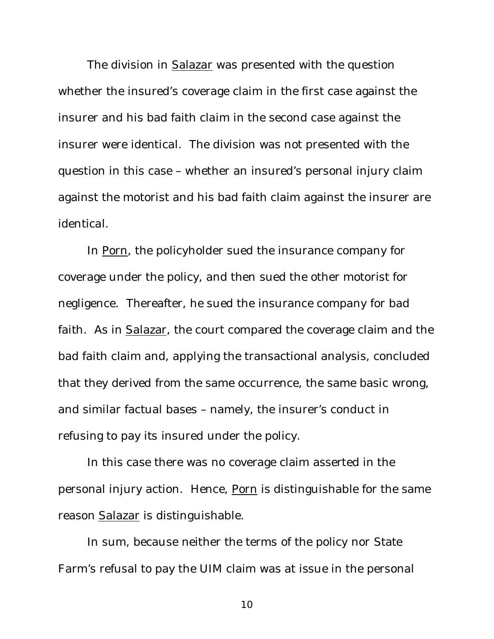The division in Salazar was presented with the question whether the insured's coverage claim in the first case against the insurer and his bad faith claim in the second case against the insurer were identical. The division was not presented with the question in this case – whether an insured's personal injury claim against the motorist and his bad faith claim against the insurer are identical.

In Porn, the policyholder sued the insurance company for coverage under the policy, and then sued the other motorist for negligence. Thereafter, he sued the insurance company for bad faith. As in Salazar, the court compared the coverage claim and the bad faith claim and, applying the transactional analysis, concluded that they derived from the same occurrence, the same basic wrong, and similar factual bases – namely, the insurer's conduct in refusing to pay its insured under the policy.

In this case there was no coverage claim asserted in the personal injury action. Hence, Porn is distinguishable for the same reason Salazar is distinguishable.

In sum, because neither the terms of the policy nor State Farm's refusal to pay the UIM claim was at issue in the personal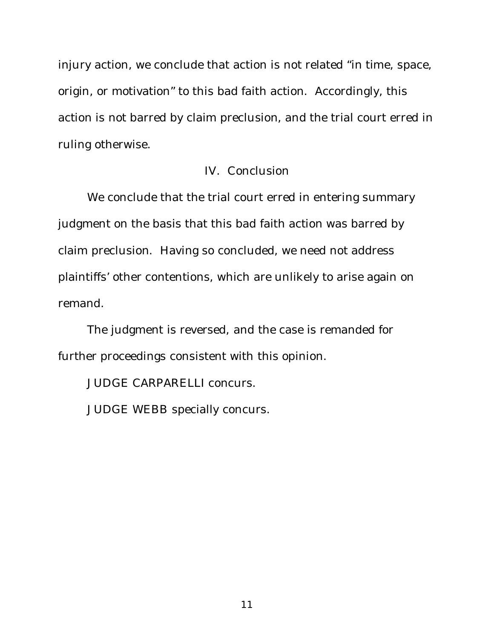injury action, we conclude that action is not related "in time, space, origin, or motivation" to this bad faith action. Accordingly, this action is not barred by claim preclusion, and the trial court erred in ruling otherwise.

# IV. Conclusion

We conclude that the trial court erred in entering summary judgment on the basis that this bad faith action was barred by claim preclusion. Having so concluded, we need not address plaintiffs' other contentions, which are unlikely to arise again on remand.

The judgment is reversed, and the case is remanded for further proceedings consistent with this opinion.

JUDGE CARPARELLI concurs.

JUDGE WEBB specially concurs.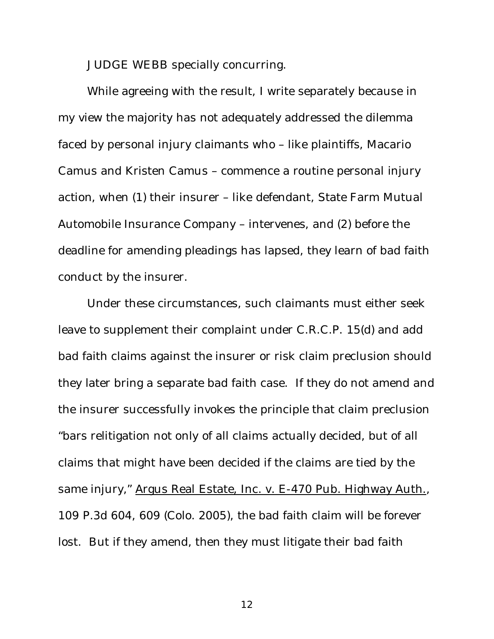JUDGE WEBB specially concurring.

While agreeing with the result, I write separately because in my view the majority has not adequately addressed the dilemma faced by personal injury claimants who – like plaintiffs, Macario Camus and Kristen Camus – commence a routine personal injury action, when (1) their insurer – like defendant, State Farm Mutual Automobile Insurance Company – intervenes, and (2) before the deadline for amending pleadings has lapsed, they learn of bad faith conduct by the insurer.

Under these circumstances, such claimants must either seek leave to supplement their complaint under C.R.C.P. 15(d) and add bad faith claims against the insurer or risk claim preclusion should they later bring a separate bad faith case. If they do not amend and the insurer successfully invokes the principle that claim preclusion "bars relitigation not only of all claims actually decided, but of all claims that might have been decided if the claims are tied by the same injury," Argus Real Estate, Inc. v. E-470 Pub. Highway Auth., 109 P.3d 604, 609 (Colo. 2005), the bad faith claim will be forever lost. But if they amend, then they must litigate their bad faith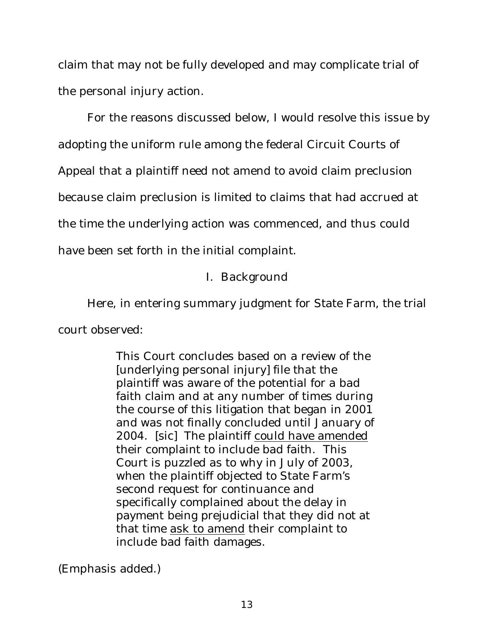claim that may not be fully developed and may complicate trial of the personal injury action.

For the reasons discussed below, I would resolve this issue by

adopting the uniform rule among the federal Circuit Courts of

Appeal that a plaintiff need not amend to avoid claim preclusion

because claim preclusion is limited to claims that had accrued at

the time the underlying action was commenced, and thus could

have been set forth in the initial complaint.

# I. Background

Here, in entering summary judgment for State Farm, the trial

court observed:

This Court concludes based on a review of the [underlying personal injury] file that the plaintiff was aware of the potential for a bad faith claim and at any number of times during the course of this litigation that began in 2001 and was not finally concluded until January of 2004. [sic] The plaintiff could have amended their complaint to include bad faith. This Court is puzzled as to why in July of 2003, when the plaintiff objected to State Farm's second request for continuance and specifically complained about the delay in payment being prejudicial that they did not at that time ask to amend their complaint to include bad faith damages.

(Emphasis added.)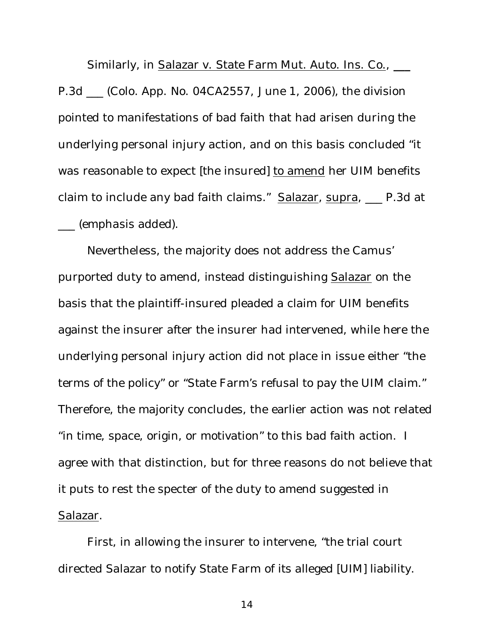Similarly, in Salazar v. State Farm Mut. Auto. Ins. Co., **\_\_\_** P.3d \_\_\_ (Colo. App. No. 04CA2557, June 1, 2006), the division pointed to manifestations of bad faith that had arisen during the underlying personal injury action, and on this basis concluded "it was reasonable to expect [the insured] to amend her UIM benefits claim to include any bad faith claims." Salazar, supra, \_\_ P.3d at \_\_\_ (emphasis added).

Nevertheless, the majority does not address the Camus' purported duty to amend, instead distinguishing Salazar on the basis that the plaintiff-insured pleaded a claim for UIM benefits against the insurer after the insurer had intervened, while here the underlying personal injury action did not place in issue either "the terms of the policy" or "State Farm's refusal to pay the UIM claim." Therefore, the majority concludes, the earlier action was not related "in time, space, origin, or motivation" to this bad faith action. I agree with that distinction, but for three reasons do not believe that it puts to rest the specter of the duty to amend suggested in Salazar.

First, in allowing the insurer to intervene, "the trial court directed Salazar to notify State Farm of its alleged [UIM] liability.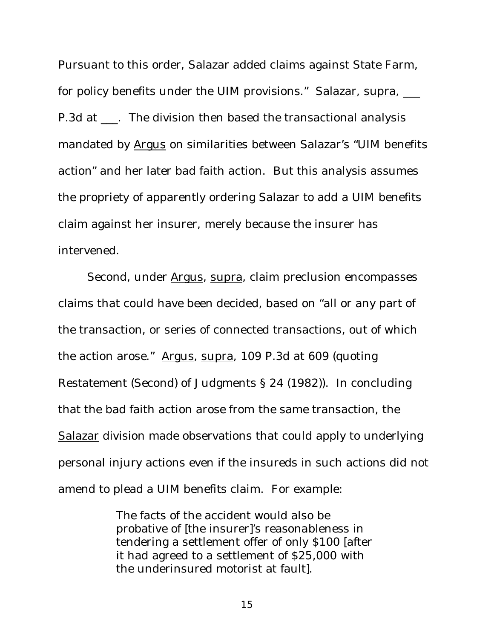Pursuant to this order, Salazar added claims against State Farm, for policy benefits under the UIM provisions." Salazar, supra,  $\frac{1}{1}$ P.3d at \_\_\_. The division then based the transactional analysis mandated by Argus on similarities between Salazar's "UIM benefits action" and her later bad faith action. But this analysis assumes the propriety of apparently ordering Salazar to add a UIM benefits claim against her insurer, merely because the insurer has intervened.

Second, under Argus, supra, claim preclusion encompasses claims that could have been decided, based on "all or any part of the transaction, or series of connected transactions, out of which the action arose." Argus, supra, 109 P.3d at 609 (quoting Restatement (Second) of Judgments § 24 (1982)). In concluding that the bad faith action arose from the same transaction, the Salazar division made observations that could apply to underlying personal injury actions even if the insureds in such actions did not amend to plead a UIM benefits claim. For example:

> The facts of the accident would also be probative of [the insurer]'s reasonableness in tendering a settlement offer of only \$100 [after it had agreed to a settlement of \$25,000 with the underinsured motorist at fault].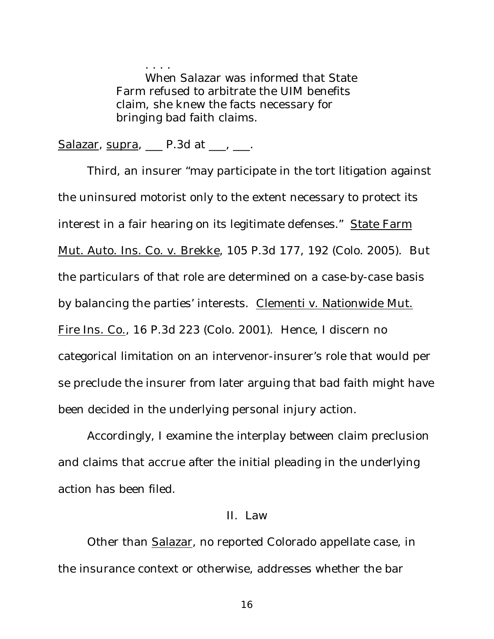. . . . When Salazar was informed that State Farm refused to arbitrate the UIM benefits claim, she knew the facts necessary for bringing bad faith claims.

Salazar, supra,  $\Box$  P.3d at  $\Box$ ,  $\Box$ .

Third, an insurer "may participate in the tort litigation against the uninsured motorist only to the extent necessary to protect its interest in a fair hearing on its legitimate defenses." State Farm Mut. Auto. Ins. Co. v. Brekke, 105 P.3d 177, 192 (Colo. 2005). But the particulars of that role are determined on a case-by-case basis by balancing the parties' interests. Clementi v. Nationwide Mut. Fire Ins. Co., 16 P.3d 223 (Colo. 2001). Hence, I discern no categorical limitation on an intervenor-insurer's role that would per se preclude the insurer from later arguing that bad faith might have been decided in the underlying personal injury action.

Accordingly, I examine the interplay between claim preclusion and claims that accrue after the initial pleading in the underlying action has been filed.

# II. Law

Other than Salazar, no reported Colorado appellate case, in the insurance context or otherwise, addresses whether the bar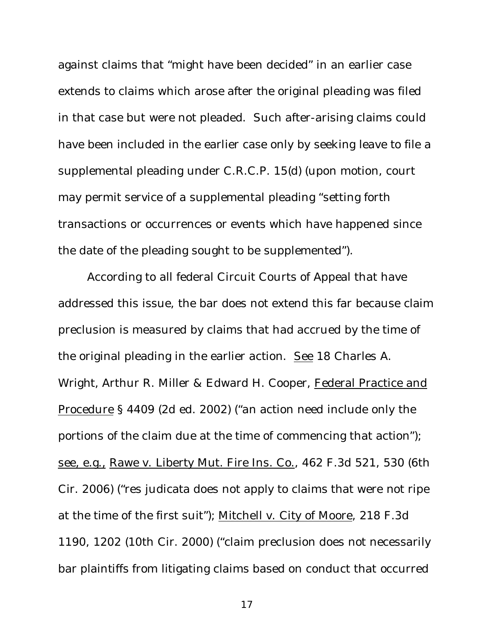against claims that "might have been decided" in an earlier case extends to claims which arose after the original pleading was filed in that case but were not pleaded. Such after-arising claims could have been included in the earlier case only by seeking leave to file a supplemental pleading under C.R.C.P. 15(d) (upon motion, court may permit service of a supplemental pleading "setting forth transactions or occurrences or events which have happened since the date of the pleading sought to be supplemented").

According to all federal Circuit Courts of Appeal that have addressed this issue, the bar does not extend this far because claim preclusion is measured by claims that had accrued by the time of the original pleading in the earlier action. See 18 Charles A. Wright, Arthur R. Miller & Edward H. Cooper, Federal Practice and Procedure § 4409 (2d ed. 2002) ("an action need include only the portions of the claim due at the time of commencing that action"); see, e.g., Rawe v. Liberty Mut. Fire Ins. Co., 462 F.3d 521, 530 (6th Cir. 2006) ("res judicata does not apply to claims that were not ripe at the time of the first suit"); Mitchell v. City of Moore, 218 F.3d 1190, 1202 (10th Cir. 2000) ("claim preclusion does not necessarily bar plaintiffs from litigating claims based on conduct that occurred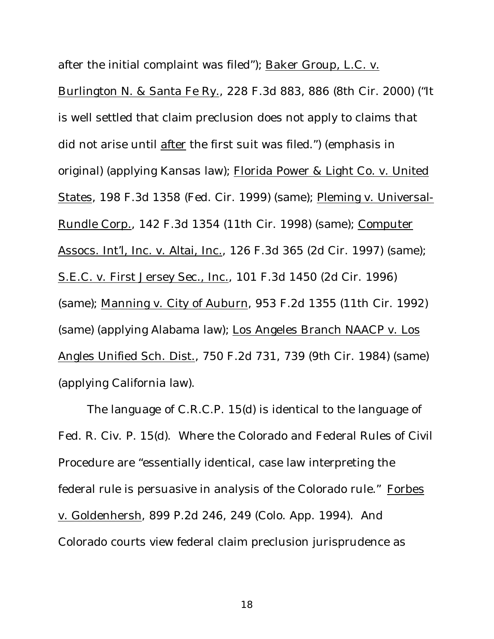after the initial complaint was filed"); Baker Group, L.C. v.

Burlington N. & Santa Fe Ry., 228 F.3d 883, 886 (8th Cir. 2000) ("It is well settled that claim preclusion does not apply to claims that did not arise until after the first suit was filed.") (emphasis in original) (applying Kansas law); Florida Power & Light Co. v. United States, 198 F.3d 1358 (Fed. Cir. 1999) (same); Pleming v. Universal-Rundle Corp., 142 F.3d 1354 (11th Cir. 1998) (same); Computer Assocs. Int'l, Inc. v. Altai, Inc., 126 F.3d 365 (2d Cir. 1997) (same); S.E.C. v. First Jersey Sec., Inc., 101 F.3d 1450 (2d Cir. 1996) (same); Manning v. City of Auburn, 953 F.2d 1355 (11th Cir. 1992) (same) (applying Alabama law); Los Angeles Branch NAACP v. Los Angles Unified Sch. Dist., 750 F.2d 731, 739 (9th Cir. 1984) (same) (applying California law).

The language of C.R.C.P. 15(d) is identical to the language of Fed. R. Civ. P. 15(d). Where the Colorado and Federal Rules of Civil Procedure are "essentially identical, case law interpreting the federal rule is persuasive in analysis of the Colorado rule." Forbes v. Goldenhersh, 899 P.2d 246, 249 (Colo. App. 1994). And Colorado courts view federal claim preclusion jurisprudence as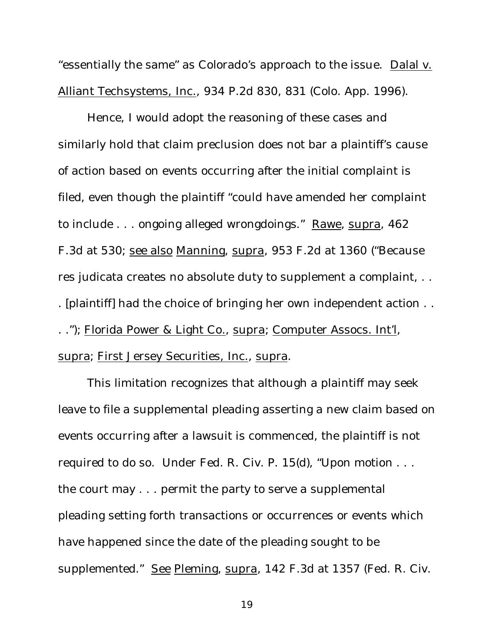"essentially the same" as Colorado's approach to the issue. Dalal v. Alliant Techsystems, Inc., 934 P.2d 830, 831 (Colo. App. 1996).

Hence, I would adopt the reasoning of these cases and similarly hold that claim preclusion does not bar a plaintiff's cause of action based on events occurring after the initial complaint is filed, even though the plaintiff "could have amended her complaint to include . . . ongoing alleged wrongdoings." Rawe, supra, 462 F.3d at 530; see also Manning, supra, 953 F.2d at 1360 ("Because res judicata creates no absolute duty to supplement a complaint, . . . [plaintiff] had the choice of bringing her own independent action . . . ."); Florida Power & Light Co., supra; Computer Assocs. Int'l, supra; First Jersey Securities, Inc., supra.

This limitation recognizes that although a plaintiff may seek leave to file a supplemental pleading asserting a new claim based on events occurring after a lawsuit is commenced, the plaintiff is not required to do so. Under Fed. R. Civ. P. 15(d), "Upon motion . . . the court may . . . permit the party to serve a supplemental pleading setting forth transactions or occurrences or events which have happened since the date of the pleading sought to be supplemented." See Pleming, supra, 142 F.3d at 1357 (Fed. R. Civ.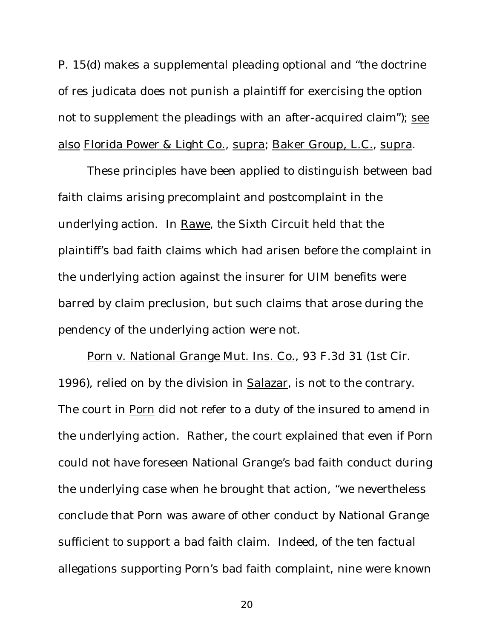P. 15(d) makes a supplemental pleading optional and "the doctrine of res judicata does not punish a plaintiff for exercising the option not to supplement the pleadings with an after-acquired claim"); see also Florida Power & Light Co., supra; Baker Group, L.C., supra.

These principles have been applied to distinguish between bad faith claims arising precomplaint and postcomplaint in the underlying action. In Rawe, the Sixth Circuit held that the plaintiff's bad faith claims which had arisen before the complaint in the underlying action against the insurer for UIM benefits were barred by claim preclusion, but such claims that arose during the pendency of the underlying action were not.

Porn v. National Grange Mut. Ins. Co., 93 F.3d 31 (1st Cir. 1996), relied on by the division in Salazar, is not to the contrary. The court in Porn did not refer to a duty of the insured to amend in the underlying action. Rather, the court explained that even if Porn could not have foreseen National Grange's bad faith conduct during the underlying case when he brought that action, "we nevertheless conclude that Porn was aware of other conduct by National Grange sufficient to support a bad faith claim. Indeed, of the ten factual allegations supporting Porn's bad faith complaint, nine were known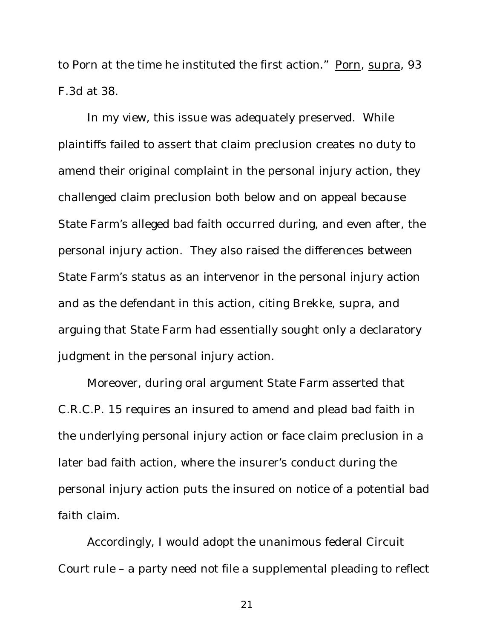to Porn at the time he instituted the first action." Porn, supra, 93 F.3d at 38.

In my view, this issue was adequately preserved. While plaintiffs failed to assert that claim preclusion creates no duty to amend their original complaint in the personal injury action, they challenged claim preclusion both below and on appeal because State Farm's alleged bad faith occurred during, and even after, the personal injury action. They also raised the differences between State Farm's status as an intervenor in the personal injury action and as the defendant in this action, citing Brekke, supra, and arguing that State Farm had essentially sought only a declaratory judgment in the personal injury action.

Moreover, during oral argument State Farm asserted that C.R.C.P. 15 requires an insured to amend and plead bad faith in the underlying personal injury action or face claim preclusion in a later bad faith action, where the insurer's conduct during the personal injury action puts the insured on notice of a potential bad faith claim.

Accordingly, I would adopt the unanimous federal Circuit Court rule – a party need not file a supplemental pleading to reflect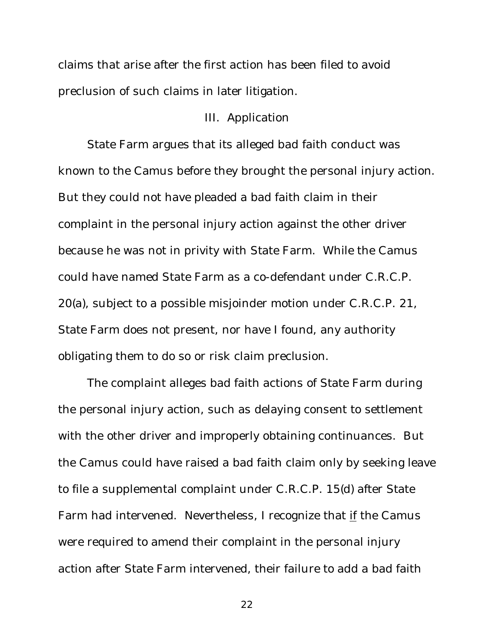claims that arise after the first action has been filed to avoid preclusion of such claims in later litigation.

#### III. Application

State Farm argues that its alleged bad faith conduct was known to the Camus before they brought the personal injury action. But they could not have pleaded a bad faith claim in their complaint in the personal injury action against the other driver because he was not in privity with State Farm. While the Camus could have named State Farm as a co-defendant under C.R.C.P. 20(a), subject to a possible misjoinder motion under C.R.C.P. 21, State Farm does not present, nor have I found, any authority obligating them to do so or risk claim preclusion.

The complaint alleges bad faith actions of State Farm during the personal injury action, such as delaying consent to settlement with the other driver and improperly obtaining continuances. But the Camus could have raised a bad faith claim only by seeking leave to file a supplemental complaint under C.R.C.P. 15(d) after State Farm had intervened. Nevertheless, I recognize that if the Camus were required to amend their complaint in the personal injury action after State Farm intervened, their failure to add a bad faith